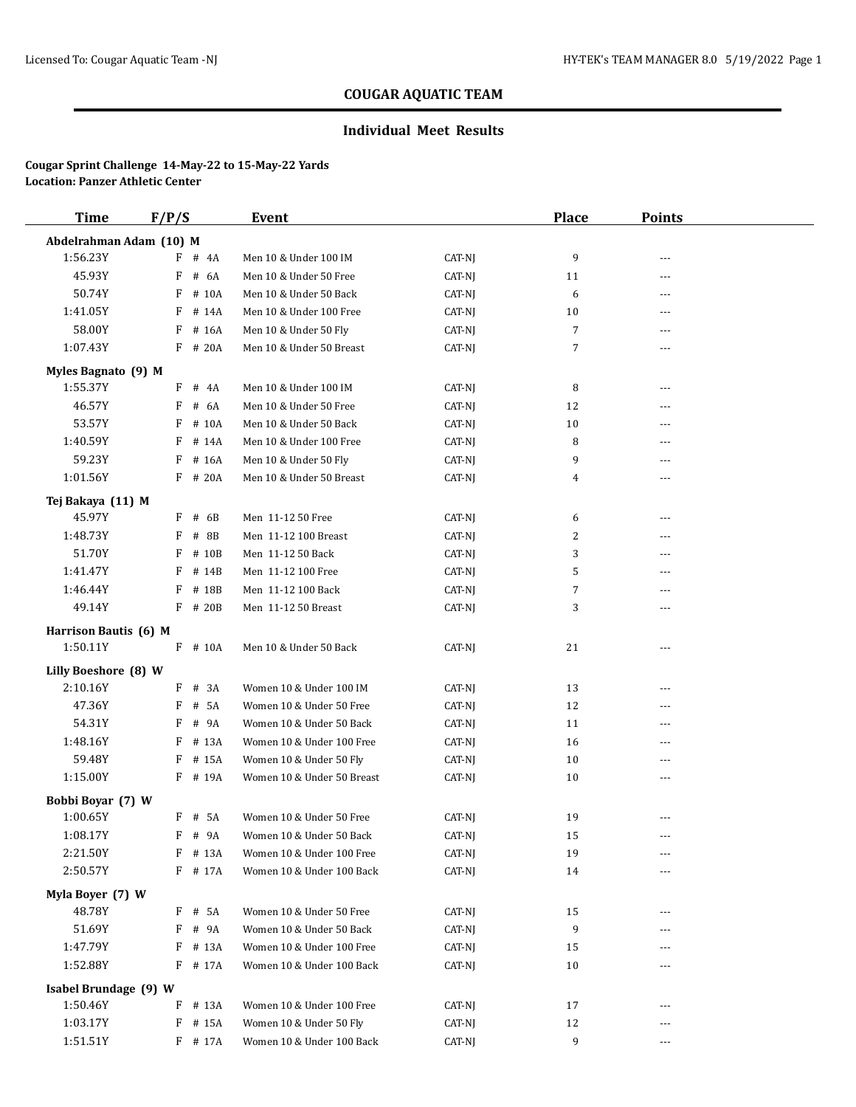## **Individual Meet Results**

| <b>Time</b>             | F/P/S |           | Event                      |        | <b>Place</b>   | <b>Points</b> |  |
|-------------------------|-------|-----------|----------------------------|--------|----------------|---------------|--|
| Abdelrahman Adam (10) M |       |           |                            |        |                |               |  |
| 1:56.23Y                |       | $F$ # 4A  | Men 10 & Under 100 IM      | CAT-NJ | 9              | ---           |  |
| 45.93Y                  | F     | # 6A      | Men 10 & Under 50 Free     | CAT-NJ | 11             | ---           |  |
| 50.74Y                  | F     | # 10A     | Men 10 & Under 50 Back     | CAT-NJ | 6              | ---           |  |
| 1:41.05Y                |       | $F$ # 14A | Men 10 & Under 100 Free    | CAT-NJ | 10             |               |  |
| 58.00Y                  |       | F # 16A   | Men 10 & Under 50 Fly      | CAT-NJ | $\overline{7}$ | ---           |  |
| 1:07.43Y                |       | $F$ # 20A | Men 10 & Under 50 Breast   | CAT-NJ | $\overline{7}$ | ---           |  |
| Myles Bagnato (9) M     |       |           |                            |        |                |               |  |
| 1:55.37Y                |       | F # 4A    | Men 10 & Under 100 IM      | CAT-NJ | 8              | ---           |  |
| 46.57Y                  |       | F # 6A    | Men 10 & Under 50 Free     | CAT-NJ | 12             | ---           |  |
| 53.57Y                  | F     | # 10A     | Men 10 & Under 50 Back     | CAT-NJ | 10             | ---           |  |
| 1:40.59Y                |       | $F$ # 14A | Men 10 & Under 100 Free    | CAT-NJ | 8              | ---           |  |
| 59.23Y                  | F     | # 16A     | Men 10 & Under 50 Fly      | CAT-NJ | 9              | ---           |  |
| 1:01.56Y                |       | $F$ # 20A | Men 10 & Under 50 Breast   | CAT-NJ | 4              | ---           |  |
| Tej Bakaya (11) M       |       |           |                            |        |                |               |  |
| 45.97Y                  |       | $F$ # 6B  | Men 11-12 50 Free          | CAT-NJ | 6              | ---           |  |
| 1:48.73Y                | F     | # 8B      | Men 11-12 100 Breast       | CAT-NJ | $\overline{c}$ | ---           |  |
| 51.70Y                  | F     | # 10B     | Men 11-12 50 Back          | CAT-NJ | 3              | ---           |  |
| 1:41.47Y                | F     | # 14B     | Men 11-12 100 Free         | CAT-NJ | 5              | ---           |  |
| 1:46.44Y                |       | F # 18B   | Men 11-12 100 Back         | CAT-NJ | $\overline{7}$ | ---           |  |
| 49.14Y                  |       | F # 20B   | Men 11-12 50 Breast        | CAT-NJ | 3              | ---           |  |
| Harrison Bautis (6) M   |       |           |                            |        |                |               |  |
| 1:50.11Y                |       | $F$ # 10A | Men 10 & Under 50 Back     | CAT-NJ | 21             | ---           |  |
| Lilly Boeshore (8) W    |       |           |                            |        |                |               |  |
| 2:10.16Y                | F     | # 3A      | Women 10 & Under 100 IM    | CAT-NJ | 13             | ---           |  |
| 47.36Y                  | F     | # 5A      | Women 10 & Under 50 Free   | CAT-NJ | 12             | ---           |  |
| 54.31Y                  | F     | # 9A      | Women 10 & Under 50 Back   | CAT-NJ | 11             | ---           |  |
| 1:48.16Y                |       | F # 13A   | Women 10 & Under 100 Free  | CAT-NJ | 16             | ---           |  |
| 59.48Y                  |       | F # 15A   | Women 10 & Under 50 Fly    | CAT-NJ | 10             | ---           |  |
| 1:15.00Y                |       | F # 19A   | Women 10 & Under 50 Breast | CAT-NJ | 10             | ---           |  |
| Bobbi Boyar (7) W       |       |           |                            |        |                |               |  |
| 1:00.65Y                |       | F # 5A    | Women 10 & Under 50 Free   | CAT-NJ | 19             | ---           |  |
| 1:08.17Y                |       | F # 9A    | Women 10 & Under 50 Back   | CAT-NJ | 15             |               |  |
| 2:21.50Y                |       | F # 13A   | Women 10 & Under 100 Free  | CAT-NJ | 19             | ---           |  |
| 2:50.57Y                |       | F # 17A   | Women 10 & Under 100 Back  | CAT-NJ | 14             | ---           |  |
| Myla Boyer (7) W        |       |           |                            |        |                |               |  |
| 48.78Y                  |       | F # 5A    | Women 10 & Under 50 Free   | CAT-NJ | 15             |               |  |
| 51.69Y                  |       | F # 9A    | Women 10 & Under 50 Back   | CAT-NJ | 9              | ---           |  |
| 1:47.79Y                | F     | # 13A     | Women 10 & Under 100 Free  | CAT-NJ | 15             |               |  |
| 1:52.88Y                |       | F # 17A   | Women 10 & Under 100 Back  | CAT-NJ | 10             | ---           |  |
| Isabel Brundage (9) W   |       |           |                            |        |                |               |  |
| 1:50.46Y                |       | F # 13A   | Women 10 & Under 100 Free  | CAT-NJ | 17             | ---           |  |
| 1:03.17Y                |       | $F$ # 15A | Women 10 & Under 50 Fly    | CAT-NJ | 12             | ---           |  |
| 1:51.51Y                |       | $F$ # 17A | Women 10 & Under 100 Back  | CAT-NJ | 9              | ---           |  |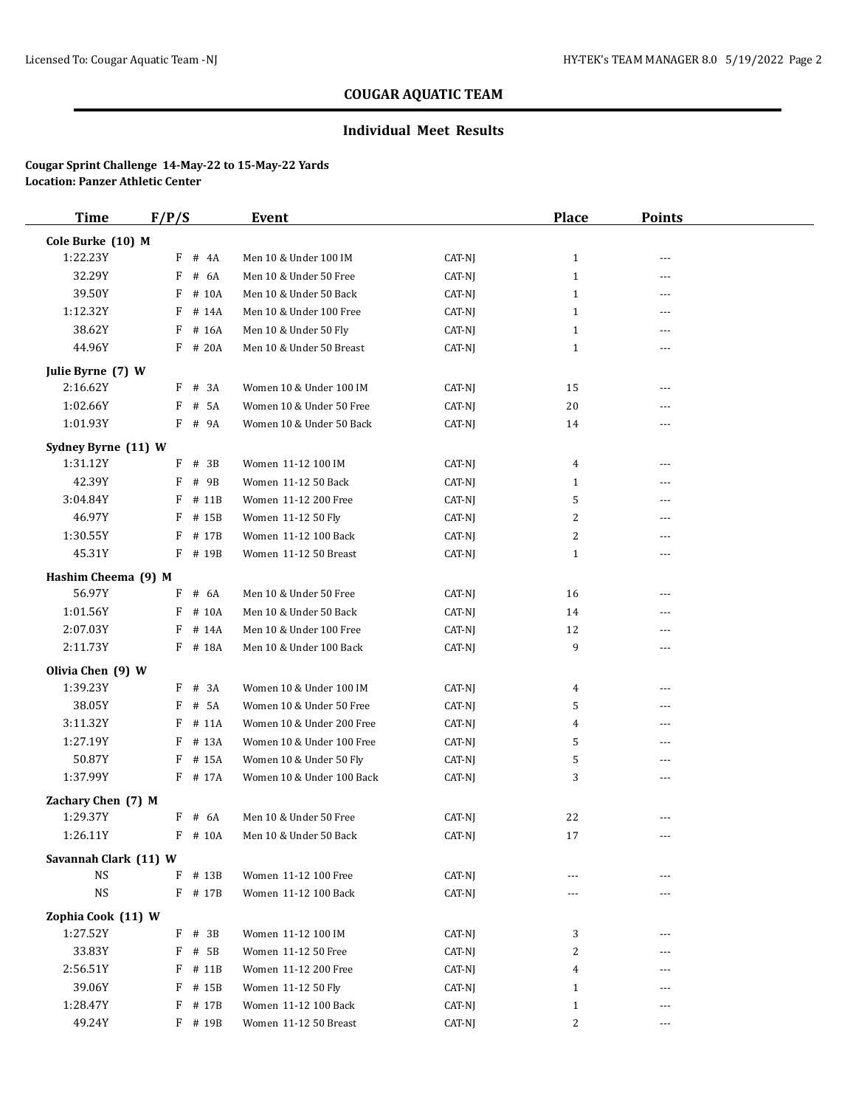## **Individual Meet Results**

| <b>Time</b>           | F/P/S      | Event                     |                 | <b>Place</b> | <b>Points</b> |  |
|-----------------------|------------|---------------------------|-----------------|--------------|---------------|--|
| Cole Burke (10) M     |            |                           |                 |              |               |  |
| 1:22.23Y              | F # 4A     | Men 10 & Under 100 IM     | CAT-NJ          | $\mathbf{1}$ | ---           |  |
| 32.29Y                | F<br># 6A  | Men 10 & Under 50 Free    | CAT-NJ          | $\mathbf{1}$ | $- - -$       |  |
| 39.50Y                | F<br># 10A | Men 10 & Under 50 Back    | CAT-NJ          | $\mathbf{1}$ | ---           |  |
| 1:12.32Y              | F<br># 14A | Men 10 & Under 100 Free   | CAT-NJ          | $\mathbf{1}$ | ---           |  |
| 38.62Y                | F # 16A    | Men 10 & Under 50 Fly     | CAT-NJ          | $\mathbf{1}$ | ---           |  |
| 44.96Y                | $F$ # 20A  | Men 10 & Under 50 Breast  | CAT-NJ          | $\mathbf{1}$ | ---           |  |
| Julie Byrne (7) W     |            |                           |                 |              |               |  |
| 2:16.62Y              | $F$ # 3A   | Women 10 & Under 100 IM   | CAT-NJ          | 15           | ---           |  |
| 1:02.66Y              | # 5A<br>F  | Women 10 & Under 50 Free  | CAT-NJ          | 20           | $- - -$       |  |
| 1:01.93Y              | F # 9A     | Women 10 & Under 50 Back  | CAT-NJ          | 14           | ---           |  |
| Sydney Byrne (11) W   |            |                           |                 |              |               |  |
| 1:31.12Y              | $F$ # 3B   | Women 11-12 100 IM        | CAT-NJ          | 4            | ---           |  |
| 42.39Y                | F<br># 9B  | Women 11-12 50 Back       | CAT-NJ          | $\mathbf{1}$ | ---           |  |
| 3:04.84Y              | F<br># 11B | Women 11-12 200 Free      | CAT-NJ          | 5            | ---           |  |
| 46.97Y                | F<br># 15B | Women 11-12 50 Fly        | CAT-NJ          | 2            | ---           |  |
| 1:30.55Y              | # 17B<br>F | Women 11-12 100 Back      | CAT-NJ          | 2            | ---           |  |
| 45.31Y                | F # 19B    | Women 11-12 50 Breast     | CAT-NJ          | $\mathbf{1}$ | ---           |  |
| Hashim Cheema (9) M   |            |                           |                 |              |               |  |
| 56.97Y                | # 6A<br>F  | Men 10 & Under 50 Free    | CAT-NJ          | 16           | ---           |  |
| 1:01.56Y              | F<br># 10A | Men 10 & Under 50 Back    | CAT-NJ          | 14           | $---$         |  |
| 2:07.03Y              | # 14A<br>F | Men 10 & Under 100 Free   | CAT-NJ          | 12           | $---$         |  |
| 2:11.73Y              | F # 18A    | Men 10 & Under 100 Back   | CAT-NJ          | 9            | ---           |  |
| Olivia Chen (9) W     |            |                           |                 |              |               |  |
| 1:39.23Y              | F # 3A     | Women 10 & Under 100 IM   | CAT-NJ          | 4            | ---           |  |
| 38.05Y                | # 5A<br>F  | Women 10 & Under 50 Free  | CAT-NJ          | 5            | $---$         |  |
| 3:11.32Y              | F<br># 11A | Women 10 & Under 200 Free | CAT-NJ          | 4            | ---           |  |
| 1:27.19Y              | $F$ # 13A  | Women 10 & Under 100 Free | CAT-NJ          | 5            | $---$         |  |
| 50.87Y                | $F$ # 15A  | Women 10 & Under 50 Fly   | CAT-NJ          | 5            | ---           |  |
| 1:37.99Y              | F # 17A    | Women 10 & Under 100 Back | CAT-NJ          | 3            | ---           |  |
| Zachary Chen (7) M    |            |                           |                 |              |               |  |
| 1:29.37Y              | $F$ # 6A   | Men 10 & Under 50 Free    | CAT-NJ          | 22           |               |  |
| 1:26.11Y              | $F$ # 10A  | Men 10 & Under 50 Back    | $\mbox{CAT-NJ}$ | 17           |               |  |
| Savannah Clark (11) W |            |                           |                 |              |               |  |
| <b>NS</b>             | $F$ # 13B  | Women 11-12 100 Free      | CAT-NJ          | $---$        |               |  |
| NS                    | F # 17B    | Women 11-12 100 Back      | CAT-NJ          | ---          | ---           |  |
| Zophia Cook (11) W    |            |                           |                 |              |               |  |
| 1:27.52Y              | $F$ # 3B   | Women 11-12 100 IM        | CAT-NJ          | 3            | ---           |  |
| 33.83Y                | $F$ # 5B   | Women 11-12 50 Free       | CAT-NJ          | 2            |               |  |
| 2:56.51Y              | $F$ # 11B  | Women 11-12 200 Free      | CAT-NJ          | 4            |               |  |
| 39.06Y                | $F$ # 15B  | Women 11-12 50 Fly        | CAT-NJ          | $\mathbf{1}$ |               |  |
| 1:28.47Y              | F # 17B    | Women 11-12 100 Back      | CAT-NJ          | $\mathbf{1}$ | $---$         |  |
| 49.24Y                | F # 19B    | Women 11-12 50 Breast     | CAT-NJ          | 2            | ---           |  |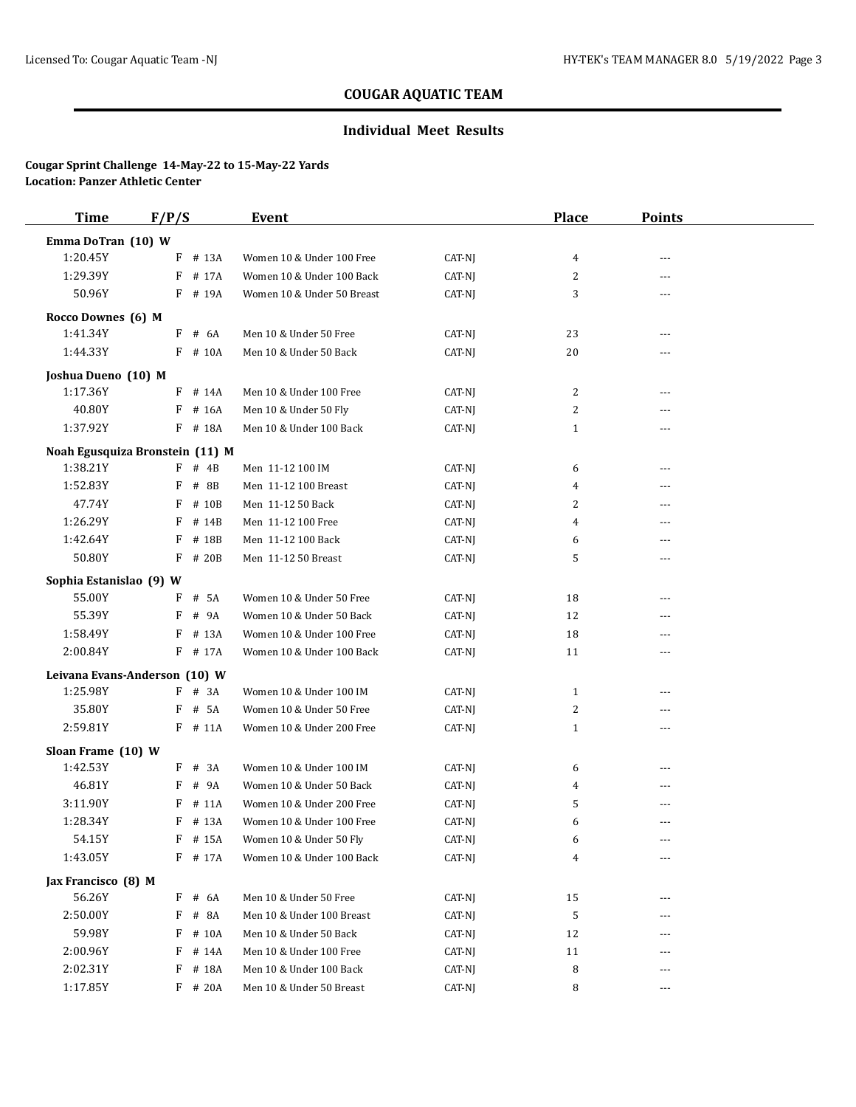## **Individual Meet Results**

| <b>Time</b>                     | F/P/S |           | <b>Event</b>               |        | <b>Place</b> | <b>Points</b> |  |
|---------------------------------|-------|-----------|----------------------------|--------|--------------|---------------|--|
| Emma DoTran (10) W              |       |           |                            |        |              |               |  |
| 1:20.45Y                        | F     | # 13A     | Women 10 & Under 100 Free  | CAT-NJ | 4            | ---           |  |
| 1:29.39Y                        | F     | # 17A     | Women 10 & Under 100 Back  | CAT-NJ | 2            | $---$         |  |
| 50.96Y                          |       | F # 19A   | Women 10 & Under 50 Breast | CAT-NJ | 3            | ---           |  |
| Rocco Downes (6) M              |       |           |                            |        |              |               |  |
| 1:41.34Y                        | F     | # 6A      | Men 10 & Under 50 Free     | CAT-NJ | 23           | ---           |  |
| 1:44.33Y                        |       | F # 10A   | Men 10 & Under 50 Back     | CAT-NJ | 20           | ---           |  |
|                                 |       |           |                            |        |              |               |  |
| Joshua Dueno (10) M<br>1:17.36Y | F     | # 14A     | Men 10 & Under 100 Free    | CAT-NJ | 2            | $- - -$       |  |
| 40.80Y                          | F     | # 16A     | Men 10 & Under 50 Fly      | CAT-NJ | 2            | $- - -$       |  |
| 1:37.92Y                        |       | F # 18A   | Men 10 & Under 100 Back    | CAT-NJ | $\mathbf{1}$ | ---           |  |
|                                 |       |           |                            |        |              |               |  |
| Noah Egusquiza Bronstein (11) M |       |           |                            |        |              |               |  |
| 1:38.21Y                        | F     | # 4B      | Men 11-12 100 IM           | CAT-NJ | 6            | ---           |  |
| 1:52.83Y                        | F     | # 8B      | Men 11-12 100 Breast       | CAT-NJ | 4            | ---           |  |
| 47.74Y                          | F     | # 10B     | Men 11-12 50 Back          | CAT-NJ | 2            | $- - -$       |  |
| 1:26.29Y                        | F     | # 14B     | Men 11-12 100 Free         | CAT-NJ | 4            | ---           |  |
| 1:42.64Y                        | F     | # 18B     | Men 11-12 100 Back         | CAT-NJ | 6            | $- - -$       |  |
| 50.80Y                          | F     | # 20B     | Men 11-12 50 Breast        | CAT-NJ | 5            | ---           |  |
| Sophia Estanislao (9) W         |       |           |                            |        |              |               |  |
| 55.00Y                          | F     | # 5A      | Women 10 & Under 50 Free   | CAT-NJ | 18           | ---           |  |
| 55.39Y                          | F     | # 9A      | Women 10 & Under 50 Back   | CAT-NJ | 12           | ---           |  |
| 1:58.49Y                        | F     | # 13A     | Women 10 & Under 100 Free  | CAT-NJ | 18           | $---$         |  |
| 2:00.84Y                        |       | F # 17A   | Women 10 & Under 100 Back  | CAT-NJ | 11           | ---           |  |
| Leivana Evans-Anderson (10) W   |       |           |                            |        |              |               |  |
| 1:25.98Y                        |       | $F$ # 3A  | Women 10 & Under 100 IM    | CAT-NJ | $\mathbf{1}$ | $- - -$       |  |
| 35.80Y                          | F     | # 5A      | Women 10 & Under 50 Free   | CAT-NJ | 2            | ---           |  |
| 2:59.81Y                        |       | $F$ # 11A | Women 10 & Under 200 Free  | CAT-NJ | $\mathbf{1}$ | ---           |  |
| Sloan Frame (10) W              |       |           |                            |        |              |               |  |
| 1:42.53Y                        |       | $F$ # 3A  | Women 10 & Under 100 IM    | CAT-NJ | 6            | ---           |  |
| 46.81Y                          | F     | # 9A      | Women 10 & Under 50 Back   | CAT-NJ | 4            | $---$         |  |
| 3:11.90Y                        | F     | # 11A     | Women 10 & Under 200 Free  | CAT-NJ | 5            | ---           |  |
| 1:28.34Y                        |       | F # 13A   | Women 10 & Under 100 Free  | CAT-NJ | 6            | $---$         |  |
| 54.15Y                          |       | F # 15A   | Women 10 & Under 50 Fly    | CAT-NJ | 6            | ---           |  |
| 1:43.05Y                        |       | F # 17A   | Women 10 & Under 100 Back  | CAT-NJ | 4            | ---           |  |
| Jax Francisco (8) M             |       |           |                            |        |              |               |  |
| 56.26Y                          |       | $F$ # 6A  | Men 10 & Under 50 Free     | CAT-NJ | 15           | ---           |  |
| 2:50.00Y                        | F     | # 8A      | Men 10 & Under 100 Breast  | CAT-NJ | 5            | ---           |  |
| 59.98Y                          | F     | # 10A     | Men 10 & Under 50 Back     | CAT-NJ | 12           | ---           |  |
| 2:00.96Y                        | F     | # 14A     | Men 10 & Under 100 Free    | CAT-NJ | 11           |               |  |
| 2:02.31Y                        | F     | # 18A     | Men 10 & Under 100 Back    | CAT-NJ | 8            | $---$         |  |
| 1:17.85Y                        |       | F # 20A   | Men 10 & Under 50 Breast   | CAT-NJ | 8            | ---           |  |
|                                 |       |           |                            |        |              |               |  |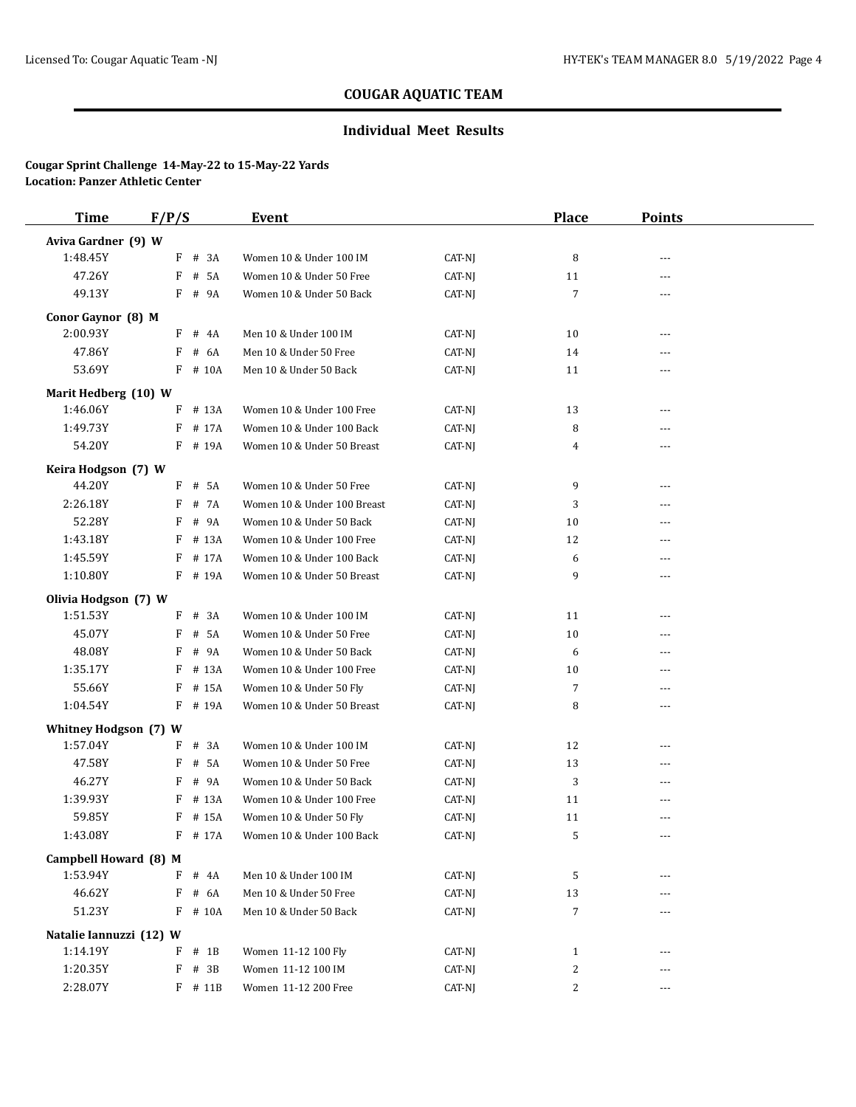## **Individual Meet Results**

| <b>Time</b>             | F/P/S      | Event                                                 |        | <b>Place</b>   | <b>Points</b> |  |
|-------------------------|------------|-------------------------------------------------------|--------|----------------|---------------|--|
| Aviva Gardner (9) W     |            |                                                       |        |                |               |  |
| 1:48.45Y                | F # 3A     | Women 10 & Under 100 IM                               | CAT-NJ | 8              | ---           |  |
| 47.26Y                  | # 5A<br>F  | Women 10 & Under 50 Free                              | CAT-NJ | 11             | ---           |  |
| 49.13Y                  | F # 9A     | Women 10 & Under 50 Back                              | CAT-NJ | 7              |               |  |
| Conor Gaynor (8) M      |            |                                                       |        |                |               |  |
| 2:00.93Y                | $F$ # 4A   | Men 10 & Under 100 IM                                 | CAT-NJ | 10             | ---           |  |
| 47.86Y                  | # 6A<br>F  | Men 10 & Under 50 Free                                | CAT-NJ | 14             |               |  |
| 53.69Y                  | F # 10A    | Men 10 & Under 50 Back                                | CAT-NJ | 11             |               |  |
| Marit Hedberg (10) W    |            |                                                       |        |                |               |  |
| 1:46.06Y                | F # 13A    | Women 10 & Under 100 Free                             | CAT-NJ | 13             | $---$         |  |
| 1:49.73Y                | F # 17A    | Women 10 & Under 100 Back                             | CAT-NJ | 8              |               |  |
| 54.20Y                  | F # 19A    | Women 10 & Under 50 Breast                            | CAT-NJ | 4              | ---           |  |
|                         |            |                                                       |        |                |               |  |
| Keira Hodgson (7) W     |            |                                                       |        |                |               |  |
| 44.20Y                  | $F$ # 5A   | Women 10 & Under 50 Free                              | CAT-NJ | 9              | ---           |  |
| 2:26.18Y                | F # 7A     | Women 10 & Under 100 Breast                           | CAT-NJ | 3              |               |  |
| 52.28Y<br>1:43.18Y      | F<br># 9A  | Women 10 & Under 50 Back<br>Women 10 & Under 100 Free | CAT-NJ | 10             | ---           |  |
|                         | # 13A<br>F |                                                       | CAT-NJ | 12             | ---           |  |
| 1:45.59Y<br>1:10.80Y    | $F$ # 17A  | Women 10 & Under 100 Back                             | CAT-NJ | 6              | ---           |  |
|                         | F # 19A    | Women 10 & Under 50 Breast                            | CAT-NJ | 9              | ---           |  |
| Olivia Hodgson (7) W    |            |                                                       |        |                |               |  |
| 1:51.53Y                | F # 3A     | Women 10 & Under 100 IM                               | CAT-NJ | 11             | ---           |  |
| 45.07Y                  | # 5A<br>F  | Women 10 & Under 50 Free                              | CAT-NJ | 10             | ---           |  |
| 48.08Y                  | # 9A<br>F  | Women 10 & Under 50 Back                              | CAT-NJ | 6              | ---           |  |
| 1:35.17Y                | # 13A<br>F | Women 10 & Under 100 Free                             | CAT-NJ | 10             | ---           |  |
| 55.66Y                  | F # 15A    | Women 10 & Under 50 Fly                               | CAT-NJ | 7              | ---           |  |
| 1:04.54Y                | F # 19A    | Women 10 & Under 50 Breast                            | CAT-NJ | 8              | ---           |  |
| Whitney Hodgson (7) W   |            |                                                       |        |                |               |  |
| 1:57.04Y                | # 3A<br>F  | Women 10 & Under 100 IM                               | CAT-NJ | 12             | ---           |  |
| 47.58Y                  | F # 5A     | Women 10 & Under 50 Free                              | CAT-NJ | 13             | ---           |  |
| 46.27Y                  | F # 9A     | Women 10 & Under 50 Back                              | CAT-NJ | 3              | ---           |  |
| 1:39.93Y                | # 13A<br>F | Women 10 & Under 100 Free                             | CAT-NJ | 11             | ---           |  |
| 59.85Y                  | $F$ # 15A  | Women 10 & Under 50 Fly                               | CAT-NJ | 11             | ---           |  |
| 1:43.08Y                | $F$ # 17A  | Women 10 & Under 100 Back                             | CAT-NJ | 5              |               |  |
| Campbell Howard (8) M   |            |                                                       |        |                |               |  |
| 1:53.94Y                | $F$ # 4A   | Men 10 & Under 100 IM                                 | CAT-NJ | 5              |               |  |
| 46.62Y                  | $F$ # 6A   | Men 10 & Under 50 Free                                | CAT-NJ | 13             |               |  |
| 51.23Y                  | $F$ # 10A  | Men 10 & Under 50 Back                                | CAT-NJ | $\overline{7}$ | ---           |  |
| Natalie Iannuzzi (12) W |            |                                                       |        |                |               |  |
| 1:14.19Y                | $F$ # 1B   | Women 11-12 100 Fly                                   | CAT-NJ | $\mathbf{1}$   |               |  |
| 1:20.35Y                | $F$ # 3B   | Women 11-12 100 IM                                    | CAT-NJ | 2              | ---           |  |
| 2:28.07Y                | $F$ # 11B  | Women 11-12 200 Free                                  | CAT-NJ | 2              | ---           |  |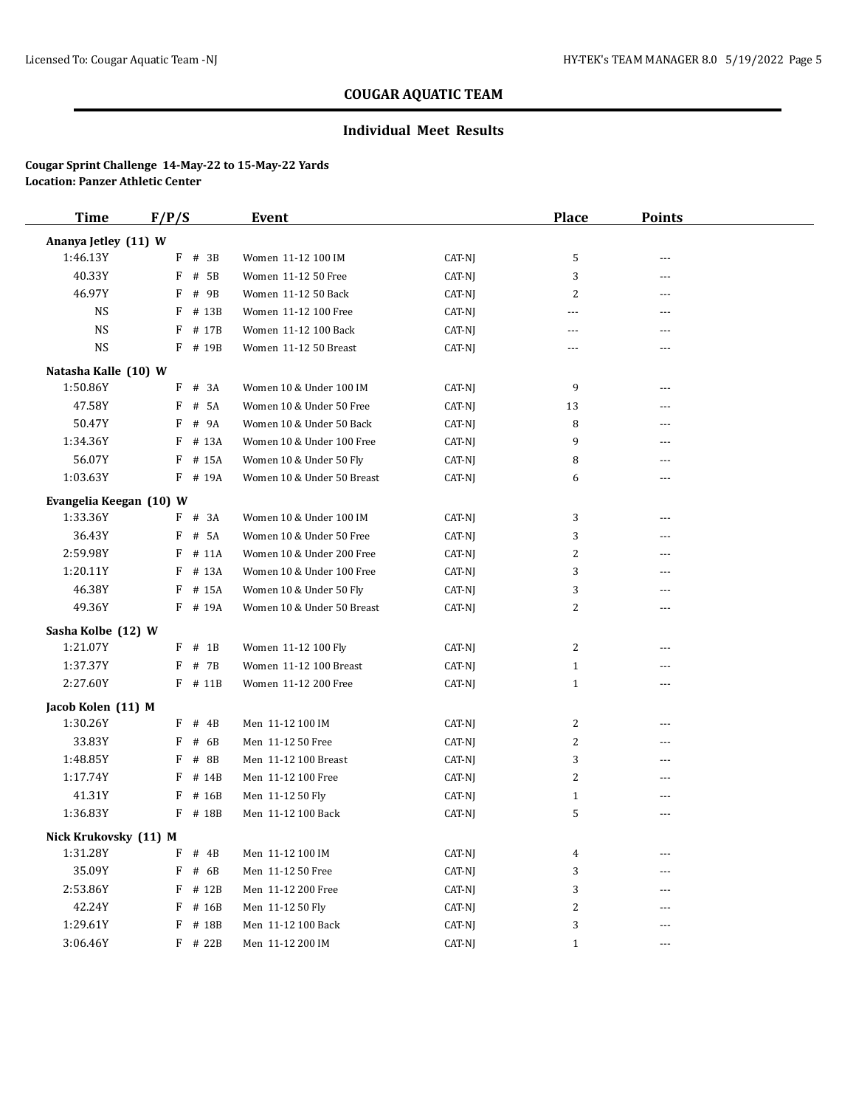## **Individual Meet Results**

| <b>Time</b>             | F/P/S |           | Event                      |        | <b>Place</b>              | <b>Points</b> |  |
|-------------------------|-------|-----------|----------------------------|--------|---------------------------|---------------|--|
| Ananya Jetley (11) W    |       |           |                            |        |                           |               |  |
| 1:46.13Y                | F     | # 3B      | Women 11-12 100 IM         | CAT-NJ | 5                         |               |  |
| 40.33Y                  | F     | # 5B      | Women 11-12 50 Free        | CAT-NJ | 3                         | ---           |  |
| 46.97Y                  | F     | # 9B      | Women 11-12 50 Back        | CAT-NJ | 2                         | ---           |  |
| NS                      | F     | # 13B     | Women 11-12 100 Free       | CAT-NJ | ---                       | ---           |  |
| <b>NS</b>               | F     | # 17B     | Women 11-12 100 Back       | CAT-NJ | ---                       | ---           |  |
| <b>NS</b>               |       | F # 19B   | Women 11-12 50 Breast      | CAT-NJ | ---                       | ---           |  |
| Natasha Kalle (10) W    |       |           |                            |        |                           |               |  |
| 1:50.86Y                | F     | # 3A      | Women 10 & Under 100 IM    | CAT-NJ | 9                         | ---           |  |
| 47.58Y                  | F     | # 5A      | Women 10 & Under 50 Free   | CAT-NJ | 13                        | ---           |  |
| 50.47Y                  | F     | # 9A      | Women 10 & Under 50 Back   | CAT-NJ | 8                         | ---           |  |
| 1:34.36Y                | F     | # 13A     | Women 10 & Under 100 Free  | CAT-NJ | 9                         |               |  |
| 56.07Y                  | F     | # 15A     | Women 10 & Under 50 Fly    | CAT-NJ | 8                         | ---           |  |
| 1:03.63Y                | F     | # 19A     | Women 10 & Under 50 Breast | CAT-NJ | 6                         | ---           |  |
| Evangelia Keegan (10) W |       |           |                            |        |                           |               |  |
| 1:33.36Y                |       | $F$ # 3A  | Women 10 & Under 100 IM    | CAT-NJ | 3                         | ---           |  |
| 36.43Y                  | F     | # 5A      | Women 10 & Under 50 Free   | CAT-NJ | 3                         | ---           |  |
| 2:59.98Y                | F     | # 11A     | Women 10 & Under 200 Free  | CAT-NJ | $\overline{c}$            | ---           |  |
| 1:20.11Y                | F     | # 13A     | Women 10 & Under 100 Free  | CAT-NJ | 3                         | ---           |  |
| 46.38Y                  | F     | # 15A     | Women 10 & Under 50 Fly    | CAT-NJ | 3                         | ---           |  |
| 49.36Y                  |       | F # 19A   | Women 10 & Under 50 Breast | CAT-NJ | $\overline{c}$            | ---           |  |
| Sasha Kolbe (12) W      |       |           |                            |        |                           |               |  |
| 1:21.07Y                | F     | $#$ 1B    | Women 11-12 100 Fly        | CAT-NJ | $\overline{c}$            | ---           |  |
| 1:37.37Y                | F     | # 7B      | Women 11-12 100 Breast     | CAT-NJ | $\mathbf{1}$              | $---$         |  |
| 2:27.60Y                |       | $F$ # 11B | Women 11-12 200 Free       | CAT-NJ | $\mathbf{1}$              | ---           |  |
| Jacob Kolen (11) M      |       |           |                            |        |                           |               |  |
| 1:30.26Y                | F     | # 4B      | Men 11-12 100 IM           | CAT-NJ | $\overline{c}$            | $\cdots$      |  |
| 33.83Y                  | F     | # 6B      | Men 11-12 50 Free          | CAT-NJ | $\overline{c}$            | ---           |  |
| 1:48.85Y                | F     | # 8B      | Men 11-12 100 Breast       | CAT-NJ | 3                         | ---           |  |
| 1:17.74Y                | F     | # 14B     | Men 11-12 100 Free         | CAT-NJ | $\overline{c}$            | ---           |  |
| 41.31Y                  | F     | # 16B     | Men 11-12 50 Fly           | CAT-NJ | $\mathbf{1}$              | ---           |  |
| 1:36.83Y                | F     | # 18B     | Men 11-12 100 Back         | CAT-NJ | 5                         | ---           |  |
| Nick Krukovsky (11) M   |       |           |                            |        |                           |               |  |
| 1:31.28Y                | F     | # 4B      | Men 11-12 100 IM           | CAT-NJ | 4                         |               |  |
| 35.09Y                  | F     | # 6B      | Men 11-12 50 Free          | CAT-NJ | 3                         |               |  |
| 2:53.86Y                | F     | # 12B     | Men 11-12 200 Free         | CAT-NJ | 3                         |               |  |
| 42.24Y                  | F     | # 16B     | Men 11-12 50 Fly           | CAT-NJ | $\boldsymbol{2}$          |               |  |
| 1:29.61Y                | F     | # 18B     | Men 11-12 100 Back         | CAT-NJ | $\ensuremath{\mathsf{3}}$ | $---$         |  |
| 3:06.46Y                |       | $F$ # 22B | Men 11-12 200 IM           | CAT-NJ | $\mathbf{1}$              | ---           |  |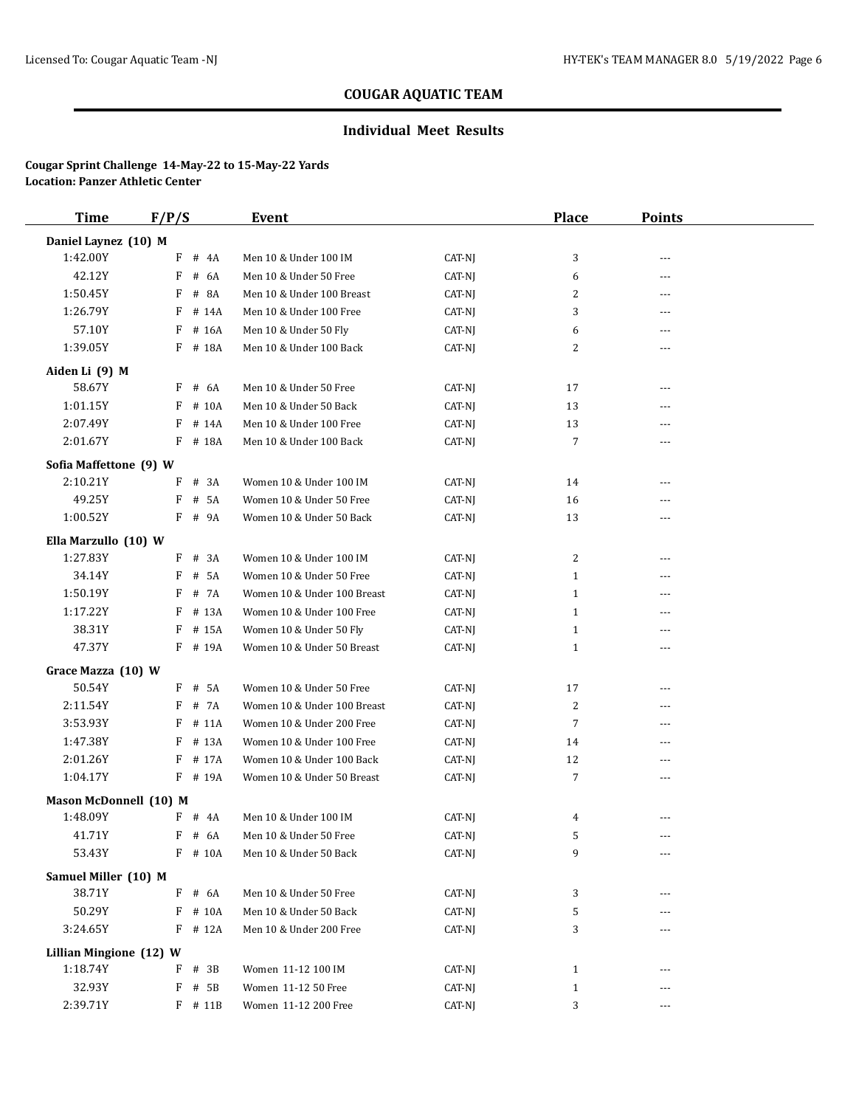## **Individual Meet Results**

| <b>Time</b>                  | F/P/S                  | <b>Event</b>                |                  | <b>Place</b>   | <b>Points</b>  |  |
|------------------------------|------------------------|-----------------------------|------------------|----------------|----------------|--|
| Daniel Laynez (10) M         |                        |                             |                  |                |                |  |
| 1:42.00Y                     | $F$ # 4A               | Men 10 & Under 100 IM       | CAT-NJ           | 3              | $- - -$        |  |
| 42.12Y                       | F<br># 6A              | Men 10 & Under 50 Free      | CAT-NJ           | 6              | ---            |  |
| 1:50.45Y                     | $\#$<br><b>8A</b><br>F | Men 10 & Under 100 Breast   | CAT-NJ           | 2              | $\overline{a}$ |  |
| 1:26.79Y                     | $F$ # 14A              | Men 10 & Under 100 Free     | CAT-NJ           | 3              | $\overline{a}$ |  |
| 57.10Y                       | F # 16A                | Men 10 & Under 50 Fly       | CAT-NJ           | 6              | $---$          |  |
| 1:39.05Y                     | F # 18A                | Men 10 & Under 100 Back     | CAT-NJ           | $\overline{c}$ | ---            |  |
| Aiden Li (9) M               |                        |                             |                  |                |                |  |
| 58.67Y                       | $F$ # 6A               | Men 10 & Under 50 Free      | CAT-NJ           | 17             | $---$          |  |
| 1:01.15Y                     | F # 10A                | Men 10 & Under 50 Back      | CAT-NJ           | 13             | ---            |  |
| 2:07.49Y                     | # 14A<br>F             | Men 10 & Under 100 Free     | CAT-NJ           | 13             | ---            |  |
| 2:01.67Y                     | F # 18A                | Men 10 & Under 100 Back     | CAT-NJ           | $\overline{7}$ | ---            |  |
| Sofia Maffettone (9) W       |                        |                             |                  |                |                |  |
| 2:10.21Y                     | F # 3A                 | Women 10 & Under 100 IM     | CAT-NJ           | 14             | $\overline{a}$ |  |
| 49.25Y                       | # 5A<br>F              | Women 10 & Under 50 Free    | CAT-NJ           | 16             | ---            |  |
| 1:00.52Y                     | $F$ # 9A               | Women 10 & Under 50 Back    | CAT-NJ           | 13             | ---            |  |
| Ella Marzullo (10) W         |                        |                             |                  |                |                |  |
| 1:27.83Y                     | F # 3A                 | Women 10 & Under 100 IM     | CAT-NJ           | $\overline{c}$ | ---            |  |
| 34.14Y                       | F # 5A                 | Women 10 & Under 50 Free    | CAT-NJ           | $\mathbf{1}$   | ---            |  |
| 1:50.19Y                     | # 7A<br>F              | Women 10 & Under 100 Breast | CAT-NJ           | $\mathbf{1}$   | $---$          |  |
| 1:17.22Y                     | # 13A<br>F             | Women 10 & Under 100 Free   | CAT-NJ           | $\mathbf{1}$   | $- - -$        |  |
| 38.31Y                       | # 15A<br>F             | Women 10 & Under 50 Fly     | CAT-NJ           | $\mathbf{1}$   | $- - -$        |  |
| 47.37Y                       | F # 19A                | Women 10 & Under 50 Breast  | CAT-NJ           | $\mathbf{1}$   | ---            |  |
|                              |                        |                             |                  |                |                |  |
| Grace Mazza (10) W<br>50.54Y | F # 5A                 | Women 10 & Under 50 Free    |                  | 17             |                |  |
| 2:11.54Y                     | # 7A<br>F              | Women 10 & Under 100 Breast | CAT-NJ<br>CAT-NJ | $\overline{c}$ | $---$<br>---   |  |
| 3:53.93Y                     | F<br># 11A             | Women 10 & Under 200 Free   | CAT-NJ           | $\overline{7}$ | ---            |  |
| 1:47.38Y                     | F # 13A                | Women 10 & Under 100 Free   | CAT-NJ           | 14             | ---            |  |
| 2:01.26Y                     | # 17A<br>F             | Women 10 & Under 100 Back   | CAT-NJ           | 12             | $---$          |  |
| 1:04.17Y                     | F # 19A                | Women 10 & Under 50 Breast  | CAT-NJ           | $\overline{7}$ | ---            |  |
|                              |                        |                             |                  |                |                |  |
| Mason McDonnell (10) M       |                        |                             |                  |                |                |  |
| 1:48.09Y                     | $F$ # 4A               | Men 10 & Under 100 IM       | CAT-NJ           | 4              | $\overline{a}$ |  |
| 41.71Y                       | $F$ # 6A               | Men 10 & Under 50 Free      | CAT-NJ           | 5              |                |  |
| 53.43Y                       | $F$ # 10A              | Men 10 & Under 50 Back      | CAT-NJ           | 9              | ---            |  |
| Samuel Miller (10) M         |                        |                             |                  |                |                |  |
| 38.71Y                       | $F$ # 6A               | Men 10 & Under 50 Free      | CAT-NJ           | 3              |                |  |
| 50.29Y                       | $F$ # 10A              | Men 10 & Under 50 Back      | CAT-NJ           | 5              |                |  |
| 3:24.65Y                     | $F$ # 12A              | Men 10 & Under 200 Free     | CAT-NJ           | 3              | ---            |  |
| Lillian Mingione (12) W      |                        |                             |                  |                |                |  |
| 1:18.74Y                     | $F$ # 3B               | Women 11-12 100 IM          | CAT-NJ           | $\mathbf{1}$   |                |  |
| 32.93Y                       | $F$ # 5B               | Women 11-12 50 Free         | CAT-NJ           | $\mathbf{1}$   |                |  |
| 2:39.71Y                     | $F$ # 11B              | Women 11-12 200 Free        | CAT-NJ           | 3              | $---$          |  |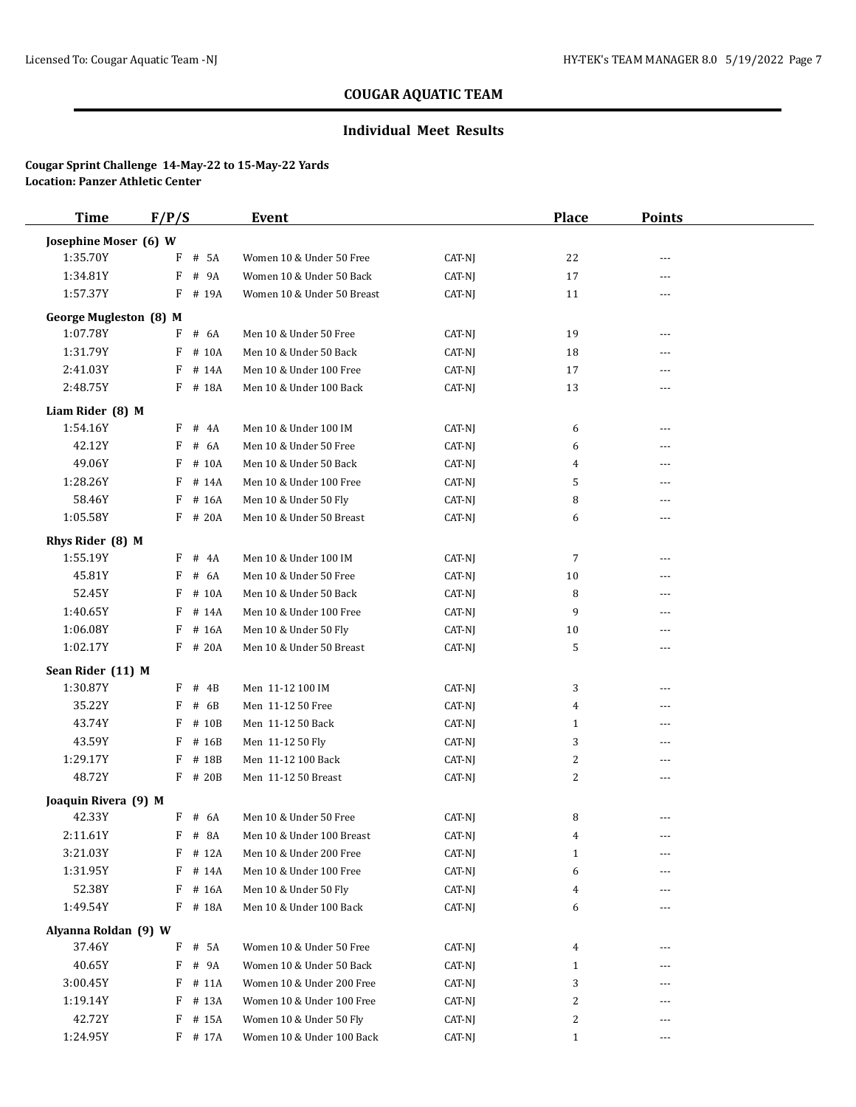## **Individual Meet Results**

| <b>Time</b>                               | F/P/S |           | <b>Event</b>               |          | <b>Place</b> | <b>Points</b> |  |
|-------------------------------------------|-------|-----------|----------------------------|----------|--------------|---------------|--|
| Josephine Moser (6) W                     |       |           |                            |          |              |               |  |
| 1:35.70Y                                  | F     | # 5A      | Women 10 & Under 50 Free   | CAT-NJ   | 22           | ---           |  |
| 1:34.81Y                                  | F     | # 9A      | Women 10 & Under 50 Back   | CAT-NJ   | 17           |               |  |
| 1:57.37Y                                  | F     | # 19A     | Women 10 & Under 50 Breast | CAT-NJ   | 11           | ---           |  |
|                                           |       |           |                            |          |              |               |  |
| <b>George Mugleston (8) M</b><br>1:07.78Y | F     | # 6A      | Men 10 & Under 50 Free     | CAT-NJ   | 19           | ---           |  |
| 1:31.79Y                                  | F     | # 10A     | Men 10 & Under 50 Back     | CAT-NJ   | 18           | ---           |  |
| 2:41.03Y                                  | F     | # 14A     | Men 10 & Under 100 Free    | CAT-NJ   | 17           | ---           |  |
| 2:48.75Y                                  |       | F # 18A   | Men 10 & Under 100 Back    | CAT-NJ   | 13           | ---           |  |
|                                           |       |           |                            |          |              |               |  |
| Liam Rider (8) M                          |       |           |                            |          |              |               |  |
| 1:54.16Y                                  | F     | # 4A      | Men 10 & Under 100 IM      | CAT-NJ   | 6            | $---$         |  |
| 42.12Y                                    | F     | # 6A      | Men 10 & Under 50 Free     | CAT-NJ   | 6            | ---           |  |
| 49.06Y                                    | F     | # 10A     | Men 10 & Under 50 Back     | CAT-NJ   | 4            | ---           |  |
| 1:28.26Y                                  | F     | # 14A     | Men 10 & Under 100 Free    | CAT-NJ   | 5            | ---           |  |
| 58.46Y                                    | F     | # 16A     | Men 10 & Under 50 Fly      | CAT-NJ   | 8            | ---           |  |
| 1:05.58Y                                  | F     | # 20A     | Men 10 & Under 50 Breast   | CAT-NJ   | 6            | ---           |  |
| Rhys Rider (8) M                          |       |           |                            |          |              |               |  |
| 1:55.19Y                                  | F     | # 4A      | Men 10 & Under 100 IM      | CAT-NJ   | 7            | $- - -$       |  |
| 45.81Y                                    | F     | # 6A      | Men 10 & Under 50 Free     | CAT-NJ   | 10           | ---           |  |
| 52.45Y                                    | F     | # 10A     | Men 10 & Under 50 Back     | CAT-NJ   | 8            | ---           |  |
| 1:40.65Y                                  | F     | # 14A     | Men 10 & Under 100 Free    | CAT-NJ   | 9            |               |  |
| 1:06.08Y                                  | F     | # 16A     | Men 10 & Under 50 Fly      | CAT-NJ   | 10           | $---$         |  |
| 1:02.17Y                                  |       | F # 20A   | Men 10 & Under 50 Breast   | CAT-NJ   | 5            | ---           |  |
| Sean Rider (11) M                         |       |           |                            |          |              |               |  |
| 1:30.87Y                                  | F     | # 4B      | Men 11-12 100 IM           | CAT-NJ   | 3            |               |  |
| 35.22Y                                    | F     | # 6B      | Men 11-12 50 Free          | CAT-NJ   | 4            | ---           |  |
| 43.74Y                                    | F     | # 10B     | Men 11-12 50 Back          | CAT-NJ   | $\mathbf{1}$ | ---           |  |
| 43.59Y                                    | F     | # 16B     | Men 11-12 50 Fly           | CAT-NJ   | 3            | ---           |  |
| 1:29.17Y                                  | F     | # 18B     | Men 11-12 100 Back         | CAT-NJ   | 2            | ---           |  |
| 48.72Y                                    |       | $F$ # 20B | Men 11-12 50 Breast        | CAT-NJ   | 2            | ---           |  |
| Joaquin Rivera (9) M                      |       |           |                            |          |              |               |  |
| 42.33Y                                    |       | F # 6A    | Men 10 & Under 50 Free     | CAT-NJ   | 8            |               |  |
| 2:11.61Y                                  |       | $F$ # 8A  | Men 10 & Under 100 Breast  | $CAT-NJ$ | 4            | $---$         |  |
| 3:21.03Y                                  | F     | # 12A     | Men 10 & Under 200 Free    | CAT-NJ   | 1            | $---$         |  |
| 1:31.95Y                                  | F     | # 14A     | Men 10 & Under 100 Free    | CAT-NJ   | 6            |               |  |
| 52.38Y                                    | F     | # 16A     | Men 10 & Under 50 Fly      | CAT-NJ   | 4            | ---           |  |
| 1:49.54Y                                  |       | F # 18A   | Men 10 & Under 100 Back    | CAT-NJ   | 6            |               |  |
|                                           |       |           |                            |          |              |               |  |
| Alyanna Roldan (9) W                      |       |           |                            |          |              |               |  |
| 37.46Y                                    | F     | # 5A      | Women 10 & Under 50 Free   | CAT-NJ   | 4            |               |  |
| 40.65Y                                    | F     | # 9A      | Women 10 & Under 50 Back   | CAT-NJ   | $\mathbf{1}$ |               |  |
| 3:00.45Y                                  | F     | # 11A     | Women 10 & Under 200 Free  | CAT-NJ   | 3            |               |  |
| 1:19.14Y                                  | F     | # 13A     | Women 10 & Under 100 Free  | CAT-NJ   | 2            |               |  |
| 42.72Y                                    | F     | # 15A     | Women 10 & Under 50 Fly    | CAT-NJ   | 2            | ---           |  |
| 1:24.95Y                                  |       | F # 17A   | Women 10 & Under 100 Back  | CAT-NJ   | $\mathbf{1}$ | $---$         |  |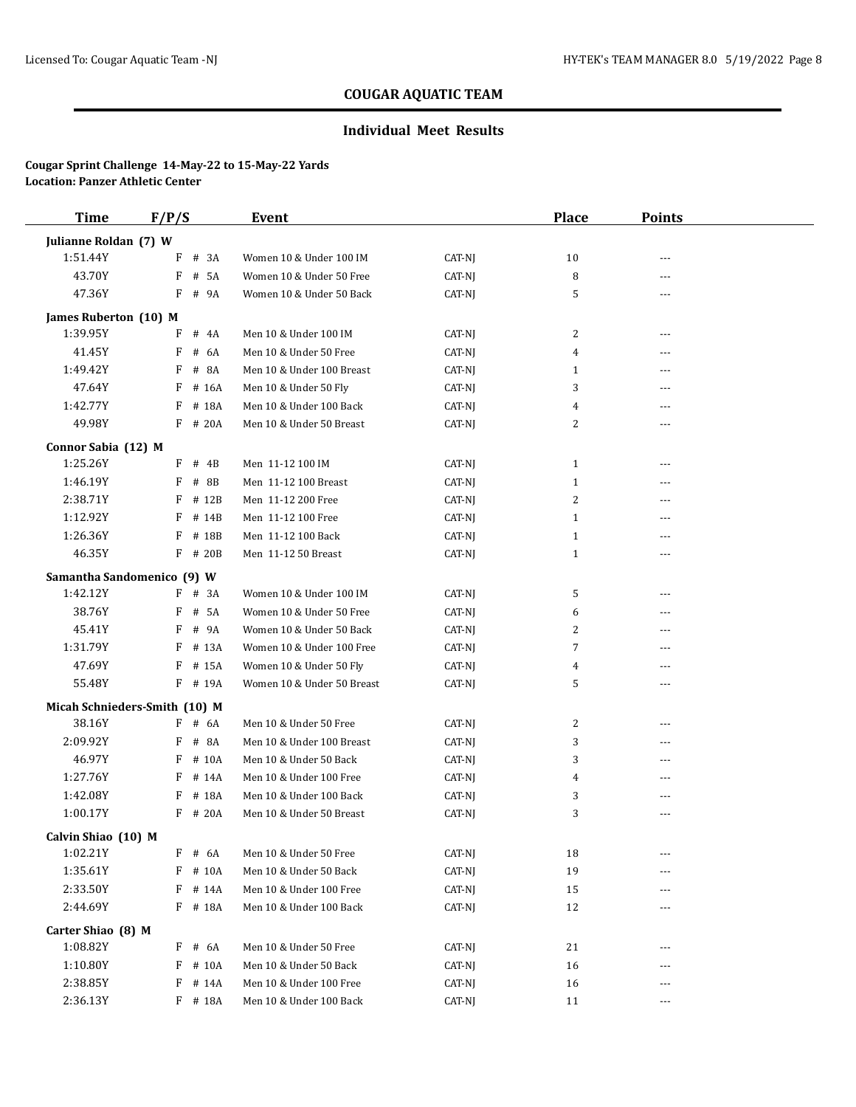## **Individual Meet Results**

| <b>Time</b>                    | F/P/S                         | Event                      |        | <b>Place</b>   | <b>Points</b> |  |
|--------------------------------|-------------------------------|----------------------------|--------|----------------|---------------|--|
| Julianne Roldan (7) W          |                               |                            |        |                |               |  |
| 1:51.44Y                       | F<br># 3A                     | Women 10 & Under 100 IM    | CAT-NJ | 10             | $- - -$       |  |
| 43.70Y                         | $\#$<br>F<br>5A               | Women 10 & Under 50 Free   | CAT-NJ | 8              |               |  |
| 47.36Y                         | F # 9A                        | Women 10 & Under 50 Back   | CAT-NJ | 5              |               |  |
| James Ruberton (10) M          |                               |                            |        |                |               |  |
| 1:39.95Y                       | F<br># 4A                     | Men 10 & Under 100 IM      | CAT-NJ | 2              | ---           |  |
| 41.45Y                         | F<br># 6A                     | Men 10 & Under 50 Free     | CAT-NJ | 4              | ---           |  |
| 1:49.42Y                       | F<br># 8A                     | Men 10 & Under 100 Breast  | CAT-NJ | 1              |               |  |
| 47.64Y                         | # 16A<br>F                    | Men 10 & Under 50 Fly      | CAT-NJ | 3              | ---           |  |
| 1:42.77Y                       | # 18A<br>F                    | Men 10 & Under 100 Back    | CAT-NJ | 4              |               |  |
| 49.98Y                         | F # 20A                       | Men 10 & Under 50 Breast   | CAT-NJ | $\overline{c}$ | ---           |  |
|                                |                               |                            |        |                |               |  |
| Connor Sabia (12) M            |                               |                            |        |                |               |  |
| 1:25.26Y                       | $F$ # 4B                      | Men 11-12 100 IM           | CAT-NJ | $\mathbf{1}$   | $\frac{1}{2}$ |  |
| 1:46.19Y                       | # 8B<br>F                     | Men 11-12 100 Breast       | CAT-NJ | $\mathbf{1}$   | ---           |  |
| 2:38.71Y                       | F<br># 12B                    | Men 11-12 200 Free         | CAT-NJ | $\overline{2}$ |               |  |
| 1:12.92Y                       | # 14B<br>F                    | Men 11-12 100 Free         | CAT-NJ | $\mathbf{1}$   | ---           |  |
| 1:26.36Y                       | # 18B<br>F                    | Men 11-12 100 Back         | CAT-NJ | $\mathbf{1}$   | ---           |  |
| 46.35Y                         | $F$ # 20B                     | Men 11-12 50 Breast        | CAT-NJ | $\mathbf{1}$   | ---           |  |
|                                | Samantha Sandomenico (9) W    |                            |        |                |               |  |
| 1:42.12Y                       | $F$ # 3A                      | Women 10 & Under 100 IM    | CAT-NJ | 5              | ---           |  |
| 38.76Y                         | F # 5A                        | Women 10 & Under 50 Free   | CAT-NJ | 6              | ---           |  |
| 45.41Y                         | F<br># 9A                     | Women 10 & Under 50 Back   | CAT-NJ | 2              | ---           |  |
| 1:31.79Y                       | F<br># 13A                    | Women 10 & Under 100 Free  | CAT-NJ | 7              | ---           |  |
| 47.69Y                         | F<br># 15A                    | Women 10 & Under 50 Fly    | CAT-NJ | 4              | ---           |  |
| 55.48Y                         | F # 19A                       | Women 10 & Under 50 Breast | CAT-NJ | 5              | ---           |  |
|                                | Micah Schnieders-Smith (10) M |                            |        |                |               |  |
| 38.16Y                         | $F$ # 6A                      | Men 10 & Under 50 Free     | CAT-NJ | 2              | ---           |  |
| 2:09.92Y                       | F # 8A                        | Men 10 & Under 100 Breast  | CAT-NJ | 3              | ---           |  |
| 46.97Y                         | F<br># 10A                    | Men 10 & Under 50 Back     | CAT-NJ | 3              | ---           |  |
| 1:27.76Y                       | # 14A<br>F                    | Men 10 & Under 100 Free    | CAT-NJ | 4              | ---           |  |
| 1:42.08Y                       | # 18A<br>F                    | Men 10 & Under 100 Back    | CAT-NJ | 3              | ---           |  |
| 1:00.17Y                       | $F$ # 20A                     | Men 10 & Under 50 Breast   | CAT-NJ | 3              |               |  |
| Calvin Shiao (10) M            |                               |                            |        |                |               |  |
| 1:02.21Y                       | F # 6A                        | Men 10 & Under 50 Free     | CAT-NJ | 18             | ---           |  |
| 1:35.61Y                       | F # 10A                       | Men 10 & Under 50 Back     | CAT-NJ | 19             |               |  |
| 2:33.50Y                       | $F$ # 14A                     | Men 10 & Under 100 Free    | CAT-NJ | 15             | ---           |  |
| 2:44.69Y                       | F # 18A                       | Men 10 & Under 100 Back    | CAT-NJ | 12             | ---           |  |
|                                |                               |                            |        |                |               |  |
| Carter Shiao (8) M<br>1:08.82Y | $F$ # 6A                      | Men 10 & Under 50 Free     | CAT-NJ | 21             |               |  |
| 1:10.80Y                       | $F$ # 10A                     | Men 10 & Under 50 Back     | CAT-NJ | 16             |               |  |
| 2:38.85Y                       | F<br># 14A                    | Men 10 & Under 100 Free    | CAT-NJ | 16             | ---           |  |
|                                |                               |                            |        |                |               |  |
| 2:36.13Y                       | F # 18A                       | Men 10 & Under 100 Back    | CAT-NJ | 11             | $\cdots$      |  |